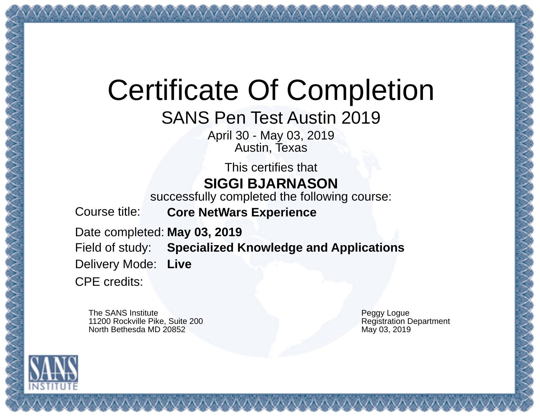## Certificate Of Completion

SANS Pen Test Austin 2019

April 30 - May 03, 2019 Austin, Texas

This certifies that **SIGGI BJARNASON**

successfully completed the following course:

Course title: **Core NetWars Experience**

Date completed: **May 03, 2019** Field of study: **Specialized Knowledge and Applications** Delivery Mode: CPE credits: **Live**

The SANS Institute 11200 Rockville Pike, Suite 200 North Bethesda MD 20852

Peggy Logue Registration Department May 03, 2019

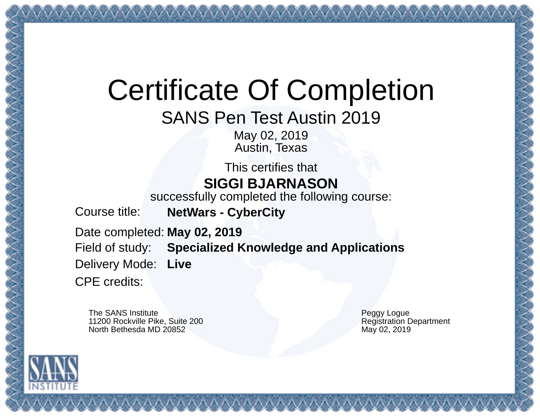## Certificate Of Completion

SANS Pen Test Austin 2019

May 02, 2019 Austin, Texas

This certifies that **SIGGI BJARNASON**

successfully completed the following course:

Course title: **NetWars - CyberCity**

Date completed: **May 02, 2019**

Field of study: **Specialized Knowledge and Applications**

Delivery Mode: **Live**

CPE credits:

The SANS Institute 11200 Rockville Pike, Suite 200 North Bethesda MD 20852

Peggy Logue Registration Department May 02, 2019